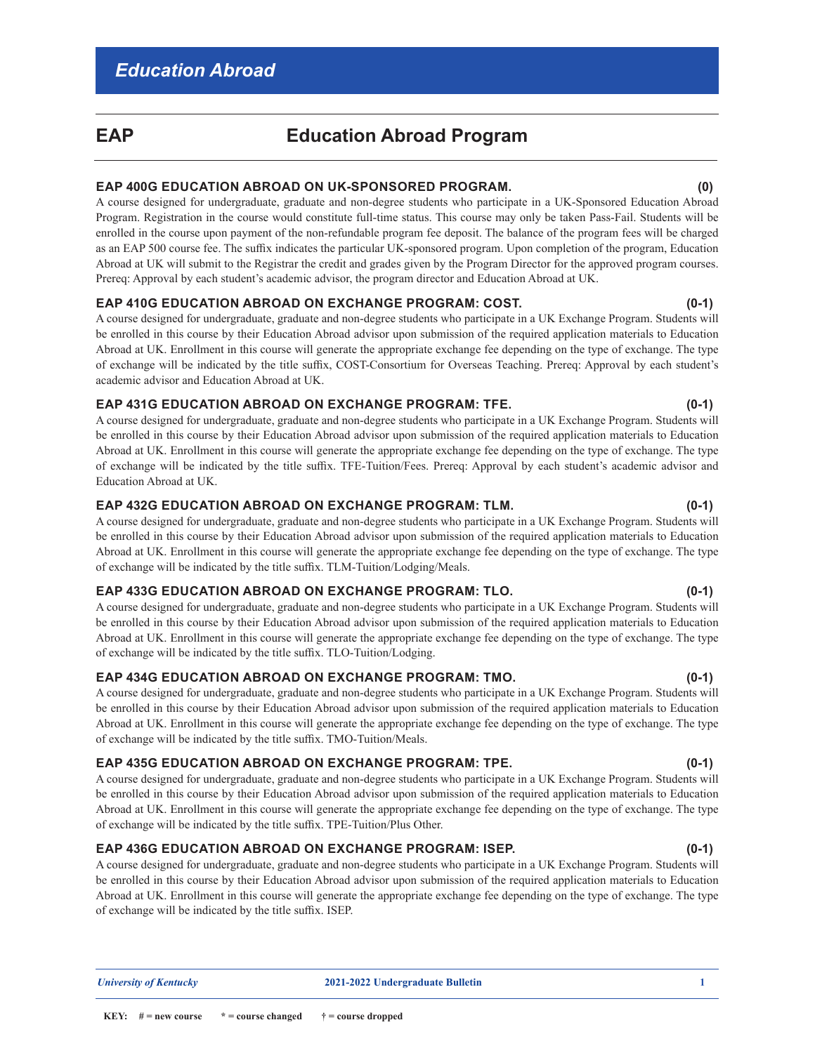## **EAP Education Abroad Program**

### **EAP 400G EDUCATION ABROAD ON UK-SPONSORED PROGRAM. (0)**

A course designed for undergraduate, graduate and non-degree students who participate in a UK-Sponsored Education Abroad Program. Registration in the course would constitute full-time status. This course may only be taken Pass-Fail. Students will be enrolled in the course upon payment of the non-refundable program fee deposit. The balance of the program fees will be charged as an EAP 500 course fee. The suffix indicates the particular UK-sponsored program. Upon completion of the program, Education Abroad at UK will submit to the Registrar the credit and grades given by the Program Director for the approved program courses. Prereq: Approval by each student's academic advisor, the program director and Education Abroad at UK.

### **EAP 410G EDUCATION ABROAD ON EXCHANGE PROGRAM: COST. (0-1)**

A course designed for undergraduate, graduate and non-degree students who participate in a UK Exchange Program. Students will be enrolled in this course by their Education Abroad advisor upon submission of the required application materials to Education Abroad at UK. Enrollment in this course will generate the appropriate exchange fee depending on the type of exchange. The type of exchange will be indicated by the title suffix, COST-Consortium for Overseas Teaching. Prereq: Approval by each student's academic advisor and Education Abroad at UK.

### **EAP 431G EDUCATION ABROAD ON EXCHANGE PROGRAM: TFE. (0-1)**

A course designed for undergraduate, graduate and non-degree students who participate in a UK Exchange Program. Students will be enrolled in this course by their Education Abroad advisor upon submission of the required application materials to Education Abroad at UK. Enrollment in this course will generate the appropriate exchange fee depending on the type of exchange. The type of exchange will be indicated by the title suffix. TFE-Tuition/Fees. Prereq: Approval by each student's academic advisor and Education Abroad at UK.

### **EAP 432G EDUCATION ABROAD ON EXCHANGE PROGRAM: TLM. (0-1)**

A course designed for undergraduate, graduate and non-degree students who participate in a UK Exchange Program. Students will be enrolled in this course by their Education Abroad advisor upon submission of the required application materials to Education Abroad at UK. Enrollment in this course will generate the appropriate exchange fee depending on the type of exchange. The type of exchange will be indicated by the title suffix. TLM-Tuition/Lodging/Meals.

### **EAP 433G EDUCATION ABROAD ON EXCHANGE PROGRAM: TLO. (0-1)**

A course designed for undergraduate, graduate and non-degree students who participate in a UK Exchange Program. Students will be enrolled in this course by their Education Abroad advisor upon submission of the required application materials to Education Abroad at UK. Enrollment in this course will generate the appropriate exchange fee depending on the type of exchange. The type of exchange will be indicated by the title suffix. TLO-Tuition/Lodging.

### **EAP 434G EDUCATION ABROAD ON EXCHANGE PROGRAM: TMO. (0-1)**

A course designed for undergraduate, graduate and non-degree students who participate in a UK Exchange Program. Students will be enrolled in this course by their Education Abroad advisor upon submission of the required application materials to Education Abroad at UK. Enrollment in this course will generate the appropriate exchange fee depending on the type of exchange. The type of exchange will be indicated by the title suffix. TMO-Tuition/Meals.

### **EAP 435G EDUCATION ABROAD ON EXCHANGE PROGRAM: TPE. (0-1)**

A course designed for undergraduate, graduate and non-degree students who participate in a UK Exchange Program. Students will be enrolled in this course by their Education Abroad advisor upon submission of the required application materials to Education Abroad at UK. Enrollment in this course will generate the appropriate exchange fee depending on the type of exchange. The type of exchange will be indicated by the title suffix. TPE-Tuition/Plus Other.

### **EAP 436G EDUCATION ABROAD ON EXCHANGE PROGRAM: ISEP. (0-1)**

A course designed for undergraduate, graduate and non-degree students who participate in a UK Exchange Program. Students will be enrolled in this course by their Education Abroad advisor upon submission of the required application materials to Education Abroad at UK. Enrollment in this course will generate the appropriate exchange fee depending on the type of exchange. The type of exchange will be indicated by the title suffix. ISEP.

#### *University of Kentucky* **2021-2022 Undergraduate Bulletin 1**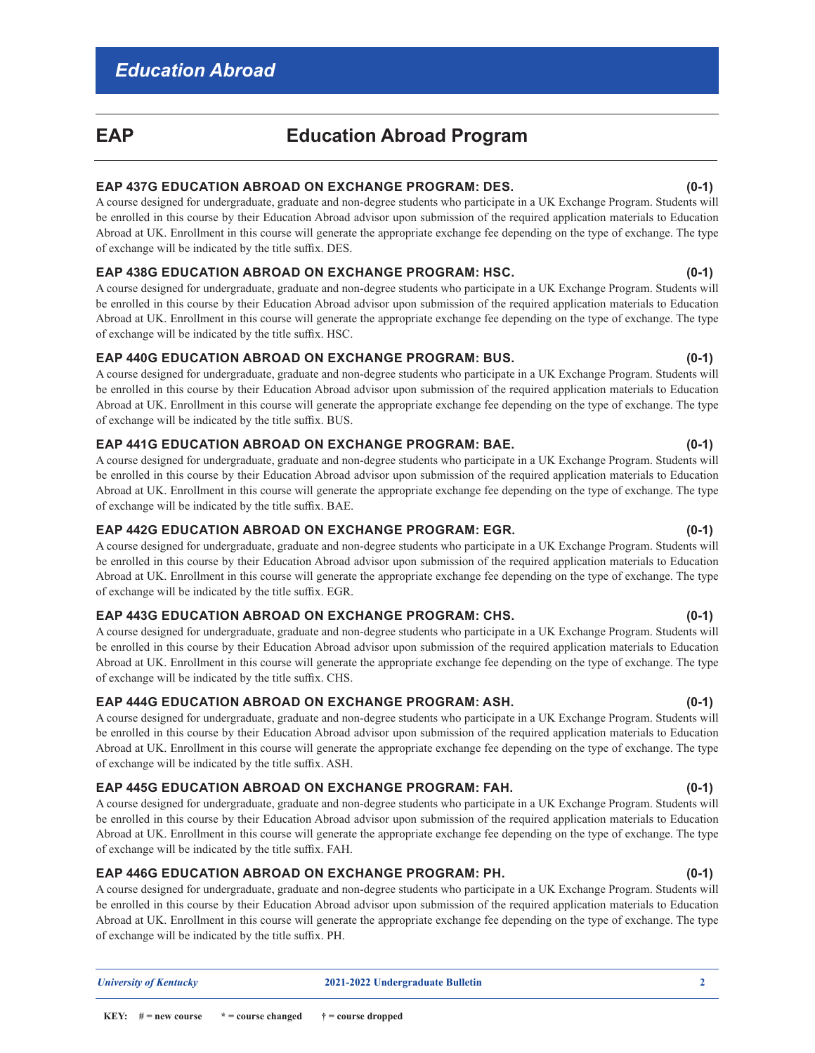# **EAP Education Abroad Program**

### **EAP 437G EDUCATION ABROAD ON EXCHANGE PROGRAM: DES. (0-1)**

A course designed for undergraduate, graduate and non-degree students who participate in a UK Exchange Program. Students will be enrolled in this course by their Education Abroad advisor upon submission of the required application materials to Education Abroad at UK. Enrollment in this course will generate the appropriate exchange fee depending on the type of exchange. The type of exchange will be indicated by the title suffix. DES.

### **EAP 438G EDUCATION ABROAD ON EXCHANGE PROGRAM: HSC. (0-1)**

A course designed for undergraduate, graduate and non-degree students who participate in a UK Exchange Program. Students will be enrolled in this course by their Education Abroad advisor upon submission of the required application materials to Education Abroad at UK. Enrollment in this course will generate the appropriate exchange fee depending on the type of exchange. The type of exchange will be indicated by the title suffix. HSC.

### **EAP 440G EDUCATION ABROAD ON EXCHANGE PROGRAM: BUS. (0-1)**

A course designed for undergraduate, graduate and non-degree students who participate in a UK Exchange Program. Students will be enrolled in this course by their Education Abroad advisor upon submission of the required application materials to Education Abroad at UK. Enrollment in this course will generate the appropriate exchange fee depending on the type of exchange. The type of exchange will be indicated by the title suffix. BUS.

### **EAP 441G EDUCATION ABROAD ON EXCHANGE PROGRAM: BAE. (0-1)**

A course designed for undergraduate, graduate and non-degree students who participate in a UK Exchange Program. Students will be enrolled in this course by their Education Abroad advisor upon submission of the required application materials to Education Abroad at UK. Enrollment in this course will generate the appropriate exchange fee depending on the type of exchange. The type of exchange will be indicated by the title suffix. BAE.

### **EAP 442G EDUCATION ABROAD ON EXCHANGE PROGRAM: EGR. (0-1)**

A course designed for undergraduate, graduate and non-degree students who participate in a UK Exchange Program. Students will be enrolled in this course by their Education Abroad advisor upon submission of the required application materials to Education Abroad at UK. Enrollment in this course will generate the appropriate exchange fee depending on the type of exchange. The type of exchange will be indicated by the title suffix. EGR.

### **EAP 443G EDUCATION ABROAD ON EXCHANGE PROGRAM: CHS. (0-1)**

A course designed for undergraduate, graduate and non-degree students who participate in a UK Exchange Program. Students will be enrolled in this course by their Education Abroad advisor upon submission of the required application materials to Education Abroad at UK. Enrollment in this course will generate the appropriate exchange fee depending on the type of exchange. The type of exchange will be indicated by the title suffix. CHS.

### **EAP 444G EDUCATION ABROAD ON EXCHANGE PROGRAM: ASH. (0-1)**

A course designed for undergraduate, graduate and non-degree students who participate in a UK Exchange Program. Students will be enrolled in this course by their Education Abroad advisor upon submission of the required application materials to Education Abroad at UK. Enrollment in this course will generate the appropriate exchange fee depending on the type of exchange. The type of exchange will be indicated by the title suffix. ASH.

### **EAP 445G EDUCATION ABROAD ON EXCHANGE PROGRAM: FAH. (0-1)**

A course designed for undergraduate, graduate and non-degree students who participate in a UK Exchange Program. Students will be enrolled in this course by their Education Abroad advisor upon submission of the required application materials to Education Abroad at UK. Enrollment in this course will generate the appropriate exchange fee depending on the type of exchange. The type of exchange will be indicated by the title suffix. FAH.

### **EAP 446G EDUCATION ABROAD ON EXCHANGE PROGRAM: PH. (0-1)**

A course designed for undergraduate, graduate and non-degree students who participate in a UK Exchange Program. Students will be enrolled in this course by their Education Abroad advisor upon submission of the required application materials to Education Abroad at UK. Enrollment in this course will generate the appropriate exchange fee depending on the type of exchange. The type of exchange will be indicated by the title suffix. PH.

 *University of Kentucky* **2021-2022 Undergraduate Bulletin 2**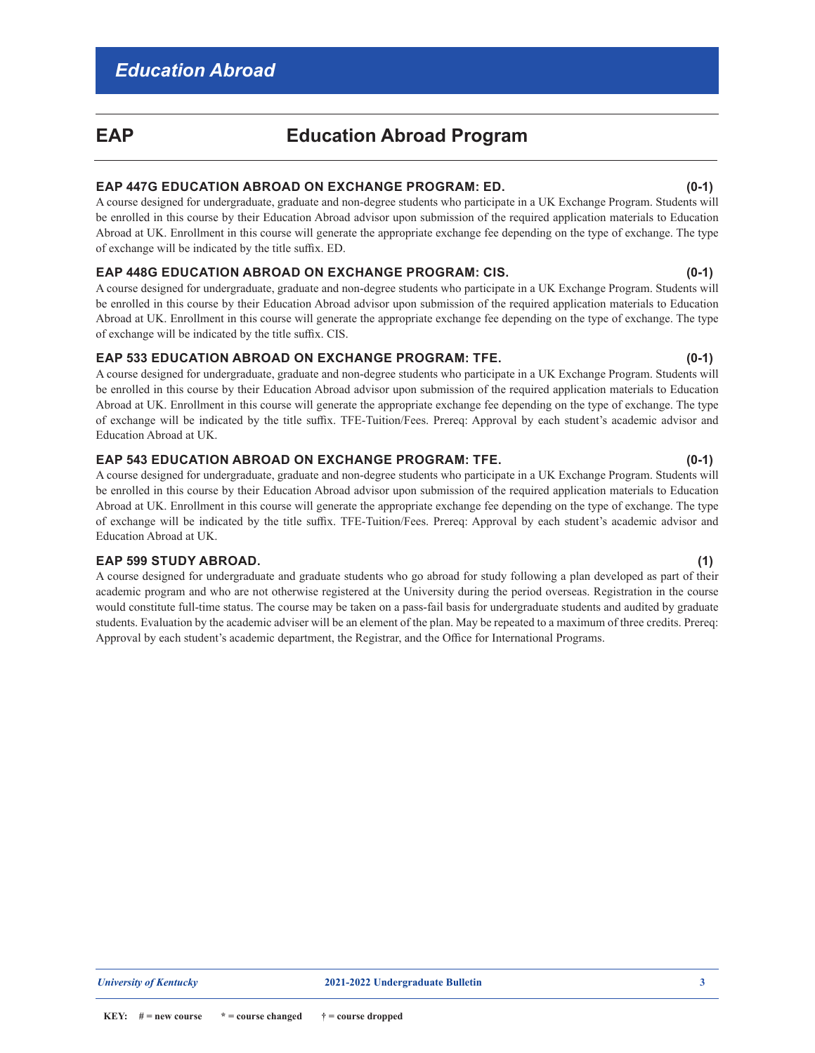## **EAP Education Abroad Program**

### **EAP 447G EDUCATION ABROAD ON EXCHANGE PROGRAM: ED. (0-1)**

A course designed for undergraduate, graduate and non-degree students who participate in a UK Exchange Program. Students will be enrolled in this course by their Education Abroad advisor upon submission of the required application materials to Education Abroad at UK. Enrollment in this course will generate the appropriate exchange fee depending on the type of exchange. The type of exchange will be indicated by the title suffix. ED.

### **EAP 448G EDUCATION ABROAD ON EXCHANGE PROGRAM: CIS. (0-1)**

A course designed for undergraduate, graduate and non-degree students who participate in a UK Exchange Program. Students will be enrolled in this course by their Education Abroad advisor upon submission of the required application materials to Education Abroad at UK. Enrollment in this course will generate the appropriate exchange fee depending on the type of exchange. The type of exchange will be indicated by the title suffix. CIS.

### **EAP 533 EDUCATION ABROAD ON EXCHANGE PROGRAM: TFE. (0-1)**

A course designed for undergraduate, graduate and non-degree students who participate in a UK Exchange Program. Students will be enrolled in this course by their Education Abroad advisor upon submission of the required application materials to Education Abroad at UK. Enrollment in this course will generate the appropriate exchange fee depending on the type of exchange. The type of exchange will be indicated by the title suffix. TFE-Tuition/Fees. Prereq: Approval by each student's academic advisor and Education Abroad at UK.

### **EAP 543 EDUCATION ABROAD ON EXCHANGE PROGRAM: TFE. (0-1)**

A course designed for undergraduate, graduate and non-degree students who participate in a UK Exchange Program. Students will be enrolled in this course by their Education Abroad advisor upon submission of the required application materials to Education Abroad at UK. Enrollment in this course will generate the appropriate exchange fee depending on the type of exchange. The type of exchange will be indicated by the title suffix. TFE-Tuition/Fees. Prereq: Approval by each student's academic advisor and Education Abroad at UK.

### **EAP 599 STUDY ABROAD. (1)**

A course designed for undergraduate and graduate students who go abroad for study following a plan developed as part of their academic program and who are not otherwise registered at the University during the period overseas. Registration in the course would constitute full-time status. The course may be taken on a pass-fail basis for undergraduate students and audited by graduate students. Evaluation by the academic adviser will be an element of the plan. May be repeated to a maximum of three credits. Prereq: Approval by each student's academic department, the Registrar, and the Office for International Programs.

**KEY:**  $#$  = new course  $*$  = course changed  $*$  = course dropped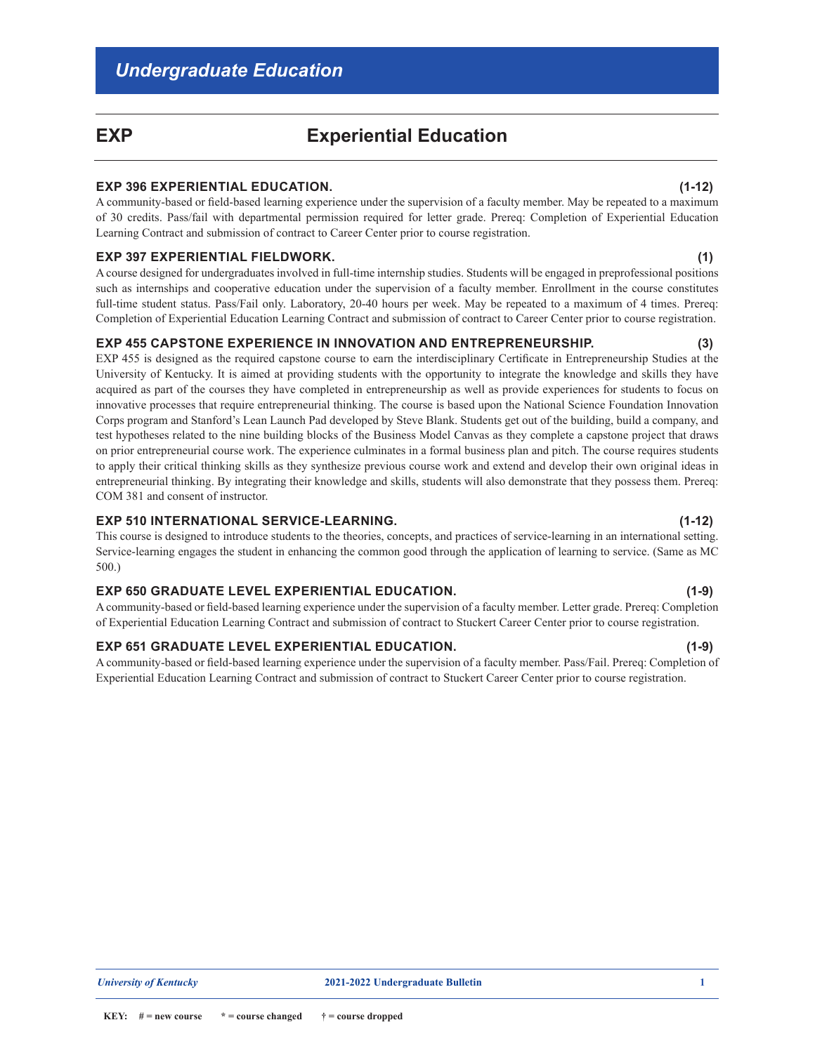## **EXP Experiential Education**

### **EXP 396 EXPERIENTIAL EDUCATION. (1-12)**

A community-based or field-based learning experience under the supervision of a faculty member. May be repeated to a maximum of 30 credits. Pass/fail with departmental permission required for letter grade. Prereq: Completion of Experiential Education Learning Contract and submission of contract to Career Center prior to course registration.

#### **EXP 397 EXPERIENTIAL FIELDWORK. (1)**

A course designed for undergraduates involved in full-time internship studies. Students will be engaged in preprofessional positions such as internships and cooperative education under the supervision of a faculty member. Enrollment in the course constitutes full-time student status. Pass/Fail only. Laboratory, 20-40 hours per week. May be repeated to a maximum of 4 times. Prereq: Completion of Experiential Education Learning Contract and submission of contract to Career Center prior to course registration.

#### **EXP 455 CAPSTONE EXPERIENCE IN INNOVATION AND ENTREPRENEURSHIP. (3)**

EXP 455 is designed as the required capstone course to earn the interdisciplinary Certificate in Entrepreneurship Studies at the University of Kentucky. It is aimed at providing students with the opportunity to integrate the knowledge and skills they have acquired as part of the courses they have completed in entrepreneurship as well as provide experiences for students to focus on innovative processes that require entrepreneurial thinking. The course is based upon the National Science Foundation Innovation Corps program and Stanford's Lean Launch Pad developed by Steve Blank. Students get out of the building, build a company, and test hypotheses related to the nine building blocks of the Business Model Canvas as they complete a capstone project that draws on prior entrepreneurial course work. The experience culminates in a formal business plan and pitch. The course requires students to apply their critical thinking skills as they synthesize previous course work and extend and develop their own original ideas in entrepreneurial thinking. By integrating their knowledge and skills, students will also demonstrate that they possess them. Prereq: COM 381 and consent of instructor.

### **EXP 510 INTERNATIONAL SERVICE-LEARNING. (1-12)**

This course is designed to introduce students to the theories, concepts, and practices of service-learning in an international setting. Service-learning engages the student in enhancing the common good through the application of learning to service. (Same as MC 500.)

### **EXP 650 GRADUATE LEVEL EXPERIENTIAL EDUCATION. (1-9)**

A community-based or field-based learning experience under the supervision of a faculty member. Letter grade. Prereq: Completion of Experiential Education Learning Contract and submission of contract to Stuckert Career Center prior to course registration.

#### **EXP 651 GRADUATE LEVEL EXPERIENTIAL EDUCATION. (1-9)**

**KEY:**  $#$  = new course  $*$  = course changed  $*$  = course dropped

A community-based or field-based learning experience under the supervision of a faculty member. Pass/Fail. Prereq: Completion of Experiential Education Learning Contract and submission of contract to Stuckert Career Center prior to course registration.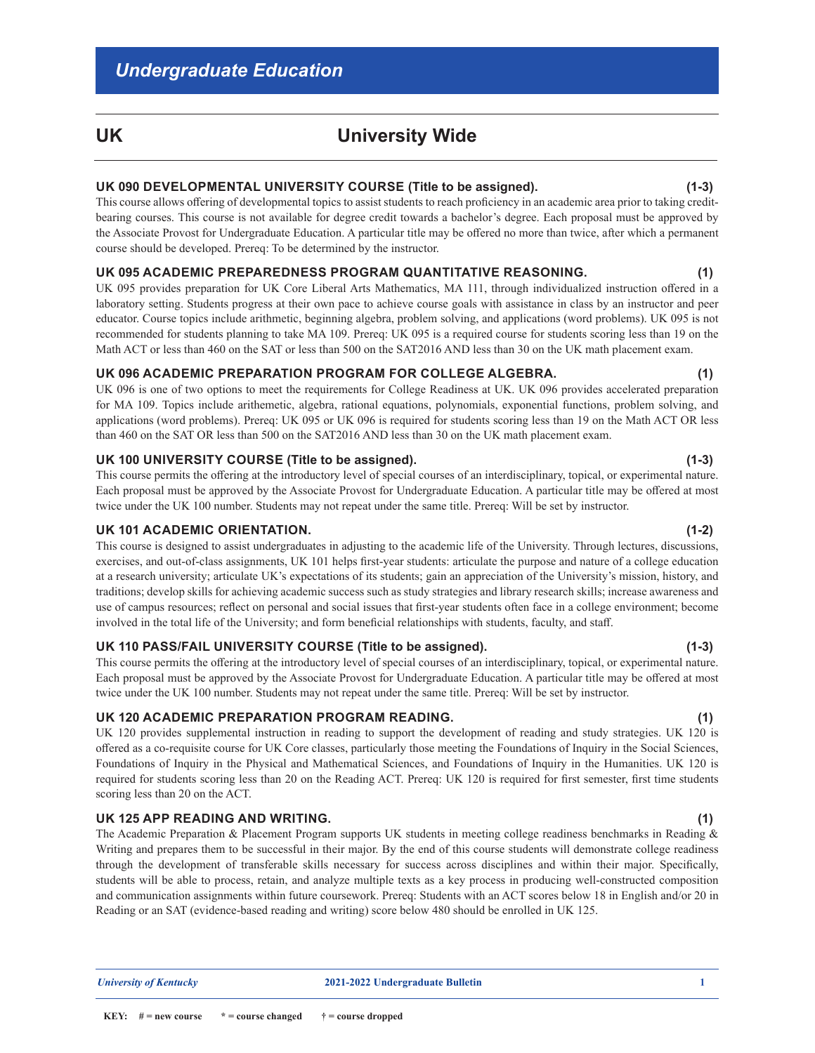## **UK University Wide**

### **UK 090 DEVELOPMENTAL UNIVERSITY COURSE (Title to be assigned). (1-3)**

This course allows offering of developmental topics to assist students to reach proficiency in an academic area prior to taking creditbearing courses. This course is not available for degree credit towards a bachelor's degree. Each proposal must be approved by the Associate Provost for Undergraduate Education. A particular title may be offered no more than twice, after which a permanent course should be developed. Prereq: To be determined by the instructor.

#### **UK 095 ACADEMIC PREPAREDNESS PROGRAM QUANTITATIVE REASONING. (1)**

UK 095 provides preparation for UK Core Liberal Arts Mathematics, MA 111, through individualized instruction offered in a laboratory setting. Students progress at their own pace to achieve course goals with assistance in class by an instructor and peer educator. Course topics include arithmetic, beginning algebra, problem solving, and applications (word problems). UK 095 is not recommended for students planning to take MA 109. Prereq: UK 095 is a required course for students scoring less than 19 on the Math ACT or less than 460 on the SAT or less than 500 on the SAT2016 AND less than 30 on the UK math placement exam.

#### **UK 096 ACADEMIC PREPARATION PROGRAM FOR COLLEGE ALGEBRA. (1)**

UK 096 is one of two options to meet the requirements for College Readiness at UK. UK 096 provides accelerated preparation for MA 109. Topics include arithemetic, algebra, rational equations, polynomials, exponential functions, problem solving, and applications (word problems). Prereq: UK 095 or UK 096 is required for students scoring less than 19 on the Math ACT OR less than 460 on the SAT OR less than 500 on the SAT2016 AND less than 30 on the UK math placement exam.

#### **UK 100 UNIVERSITY COURSE (Title to be assigned). (1-3)**

This course permits the offering at the introductory level of special courses of an interdisciplinary, topical, or experimental nature. Each proposal must be approved by the Associate Provost for Undergraduate Education. A particular title may be offered at most twice under the UK 100 number. Students may not repeat under the same title. Prereq: Will be set by instructor.

### **UK 101 ACADEMIC ORIENTATION. (1-2)**

This course is designed to assist undergraduates in adjusting to the academic life of the University. Through lectures, discussions, exercises, and out-of-class assignments, UK 101 helps first-year students: articulate the purpose and nature of a college education at a research university; articulate UK's expectations of its students; gain an appreciation of the University's mission, history, and traditions; develop skills for achieving academic success such as study strategies and library research skills; increase awareness and use of campus resources; reflect on personal and social issues that first-year students often face in a college environment; become involved in the total life of the University; and form beneficial relationships with students, faculty, and staff.

### **UK 110 PASS/FAIL UNIVERSITY COURSE (Title to be assigned). (1-3)**

This course permits the offering at the introductory level of special courses of an interdisciplinary, topical, or experimental nature. Each proposal must be approved by the Associate Provost for Undergraduate Education. A particular title may be offered at most twice under the UK 100 number. Students may not repeat under the same title. Prereq: Will be set by instructor.

### **UK 120 ACADEMIC PREPARATION PROGRAM READING. (1)**

UK 120 provides supplemental instruction in reading to support the development of reading and study strategies. UK 120 is offered as a co-requisite course for UK Core classes, particularly those meeting the Foundations of Inquiry in the Social Sciences, Foundations of Inquiry in the Physical and Mathematical Sciences, and Foundations of Inquiry in the Humanities. UK 120 is required for students scoring less than 20 on the Reading ACT. Prereq: UK 120 is required for first semester, first time students scoring less than 20 on the ACT.

#### **UK 125 APP READING AND WRITING. (1)**

The Academic Preparation & Placement Program supports UK students in meeting college readiness benchmarks in Reading & Writing and prepares them to be successful in their major. By the end of this course students will demonstrate college readiness through the development of transferable skills necessary for success across disciplines and within their major. Specifically, students will be able to process, retain, and analyze multiple texts as a key process in producing well-constructed composition and communication assignments within future coursework. Prereq: Students with an ACT scores below 18 in English and/or 20 in Reading or an SAT (evidence-based reading and writing) score below 480 should be enrolled in UK 125.

 *University of Kentucky* **2021-2022 Undergraduate Bulletin 1**